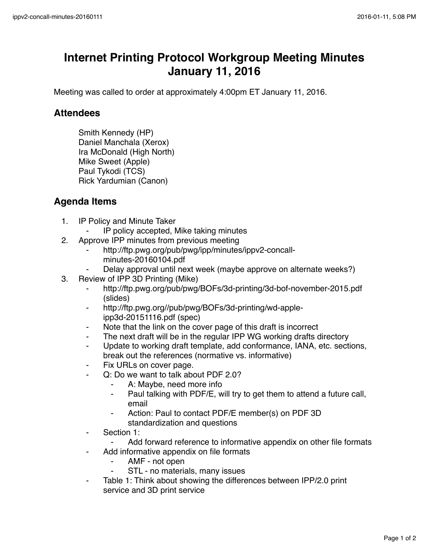## **Internet Printing Protocol Workgroup Meeting Minutes January 11, 2016**

Meeting was called to order at approximately 4:00pm ET January 11, 2016.

## **Attendees**

Smith Kennedy (HP) Daniel Manchala (Xerox) Ira McDonald (High North) Mike Sweet (Apple) Paul Tykodi (TCS) Rick Yardumian (Canon)

## **Agenda Items**

- 1. IP Policy and Minute Taker
	- IP policy accepted, Mike taking minutes
- 2. Approve IPP minutes from previous meeting
	- http://ftp.pwg.org/pub/pwg/ipp/minutes/ippv2-concallminutes-20160104.pdf
	- Delay approval until next week (maybe approve on alternate weeks?)
- 3. Review of IPP 3D Printing (Mike)
	- ⁃ http://ftp.pwg.org/pub/pwg/BOFs/3d-printing/3d-bof-november-2015.pdf (slides)
	- ⁃ http://ftp.pwg.org//pub/pwg/BOFs/3d-printing/wd-appleipp3d-20151116.pdf (spec)
	- ⁃ Note that the link on the cover page of this draft is incorrect
	- The next draft will be in the regular IPP WG working drafts directory
	- Update to working draft template, add conformance, IANA, etc. sections, break out the references (normative vs. informative)
	- Fix URLs on cover page.
	- Q: Do we want to talk about PDF 2.0?
		- A: Maybe, need more info
		- ⁃ Paul talking with PDF/E, will try to get them to attend a future call, email
		- Action: Paul to contact PDF/E member(s) on PDF 3D standardization and questions
	- Section 1:
		- Add forward reference to informative appendix on other file formats
	- Add informative appendix on file formats
		- AMF not open
		- STL no materials, many issues
	- Table 1: Think about showing the differences between IPP/2.0 print service and 3D print service